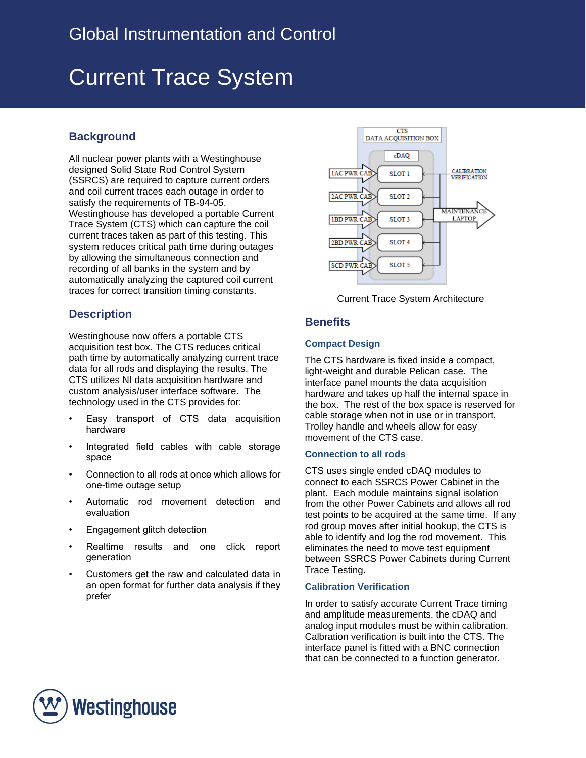# Current Trace System

## **Background**

All nuclear power plants with a Westinghouse designed Solid State Rod Control System (SSRCS) are required to capture current orders and coil current traces each outage in order to satisfy the requirements of TB-94-05. Westinghouse has developed a portable Current Trace System (CTS) which can capture the coil current traces taken as part of this testing. This system reduces critical path time during outages by allowing the simultaneous connection and recording of all banks in the system and by automatically analyzing the captured coil current traces for correct transition timing constants.

## **Description**

Westinghouse now offers a portable CTS acquisition test box. The CTS reduces critical path time by automatically analyzing current trace data for all rods and displaying the results. The CTS utilizes NI data acquisition hardware and custom analysis/user interface software. The technology used in the CTS provides for:

- Easy transport of CTS data acquisition hardware
- Integrated field cables with cable storage space
- Connection to all rods at once which allows for one-time outage setup
- Automatic rod movement detection and evaluation
- Engagement glitch detection
- Realtime results and one click report generation
- Customers get the raw and calculated data in an open format for further data analysis if they prefer



Current Trace System Architecture

## **Benefits**

### **Compact Design**

The CTS hardware is fixed inside a compact, light-weight and durable Pelican case. The interface panel mounts the data acquisition hardware and takes up half the internal space in the box. The rest of the box space is reserved for cable storage when not in use or in transport. Trolley handle and wheels allow for easy movement of the CTS case.

#### **Connection to all rods**

CTS uses single ended cDAQ modules to connect to each SSRCS Power Cabinet in the plant. Each module maintains signal isolation from the other Power Cabinets and allows all rod test points to be acquired at the same time. If any rod group moves after initial hookup, the CTS is able to identify and log the rod movement. This eliminates the need to move test equipment between SSRCS Power Cabinets during Current Trace Testing.

### **Calibration Verification**

In order to satisfy accurate Current Trace timing and amplitude measurements, the cDAQ and analog input modules must be within calibration. Calbration verification is built into the CTS. The interface panel is fitted with a BNC connection that can be connected to a function generator.